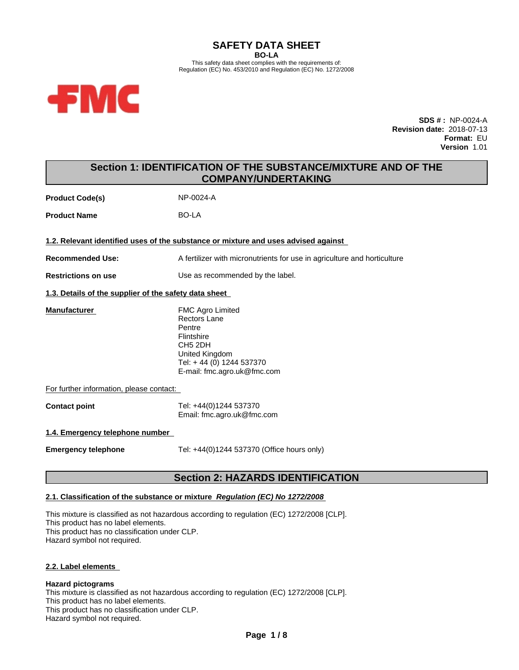#### **SAFETY DATA SHEET BO-LA** This safety data sheet complies with the requirements of: Regulation (EC) No. 453/2010 and Regulation (EC) No. 1272/2008



**SDS # :** NP-0024-A **Revision date:** 2018-07-13 **Format:** EU **Version** 1.01

# **Section 1: IDENTIFICATION OF THE SUBSTANCE/MIXTURE AND OF THE COMPANY/UNDERTAKING**

**Product Code(s)** NP-0024-A **Product Name** BO-LA **1.2. Relevant identified uses of the substance or mixture and uses advised against Recommended Use:** A fertilizer with micronutrients for use in agriculture and horticulture **Restrictions on use** Use as recommended by the label. **1.3. Details of the supplier of the safety data sheet Manufacturer** FMC Agro Limited Rectors Lane Pentre Flintshire CH5 2DH United Kingdom Tel: + 44 (0) 1244 537370 E-mail: fmc.agro.uk@fmc.com For further information, please contact: **Contact point** Tel: +44(0)1244 537370 Email: fmc.agro.uk@fmc.com **1.4. Emergency telephone number Emergency telephone** Tel: +44(0)1244 537370 (Office hours only)

# **Section 2: HAZARDS IDENTIFICATION**

# **2.1. Classification of the substance or mixture** *Regulation (EC) No 1272/2008*

This mixture is classified as not hazardous according to regulation (EC) 1272/2008 [CLP]. This product has no label elements. This product has no classification under CLP. Hazard symbol not required.

## **2.2. Label elements**

## **Hazard pictograms**

This mixture is classified as not hazardous according to regulation (EC) 1272/2008 [CLP]. This product has no label elements. This product has no classification under CLP. Hazard symbol not required.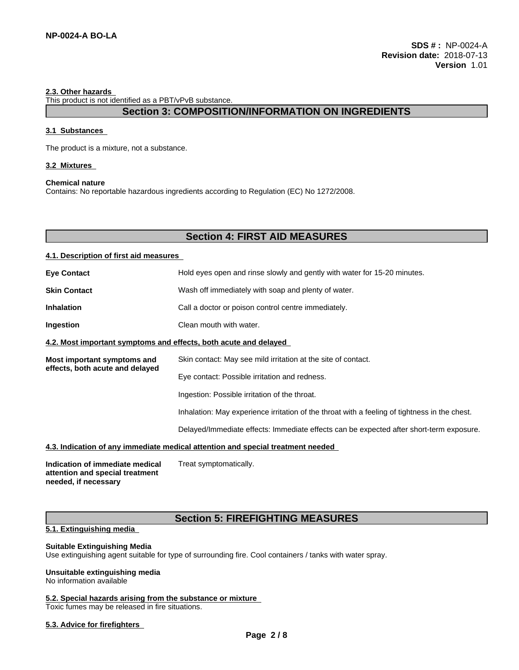### **2.3. Other hazards**

This product is not identified as a PBT/vPvB substance.

# **Section 3: COMPOSITION/INFORMATION ON INGREDIENTS**

## **3.1 Substances**

The product is a mixture, not a substance.

## **3.2 Mixtures**

### **Chemical nature**

Contains: No reportable hazardous ingredients according to Regulation (EC) No 1272/2008.

# **Section 4: FIRST AID MEASURES**

## **4.1. Description of first aid measures**

| <b>Eye Contact</b>                                               | Hold eyes open and rinse slowly and gently with water for 15-20 minutes.                      |
|------------------------------------------------------------------|-----------------------------------------------------------------------------------------------|
| <b>Skin Contact</b>                                              | Wash off immediately with soap and plenty of water.                                           |
| <b>Inhalation</b>                                                | Call a doctor or poison control centre immediately.                                           |
| Ingestion                                                        | Clean mouth with water.                                                                       |
| 4.2. Most important symptoms and effects, both acute and delayed |                                                                                               |
| Most important symptoms and                                      | Skin contact: May see mild irritation at the site of contact.                                 |
| effects, both acute and delayed                                  | Eye contact: Possible irritation and redness.                                                 |
|                                                                  | Ingestion: Possible irritation of the throat.                                                 |
|                                                                  | Inhalation: May experience irritation of the throat with a feeling of tightness in the chest. |

Delayed/Immediate effects: Immediate effects can be expected after short-term exposure.

## **4.3. Indication of any immediate medical attention and special treatment needed**

**Indication of immediate medical attention and special treatment needed, if necessary** Treat symptomatically.

# **Section 5: FIREFIGHTING MEASURES**

# **5.1. Extinguishing media**

### **Suitable Extinguishing Media**

Use extinguishing agent suitable for type of surrounding fire. Cool containers / tanks with water spray.

## **Unsuitable extinguishing media**

No information available

### **5.2. Special hazards arising from the substance or mixture**

Toxic fumes may be released in fire situations.

## **5.3. Advice for firefighters**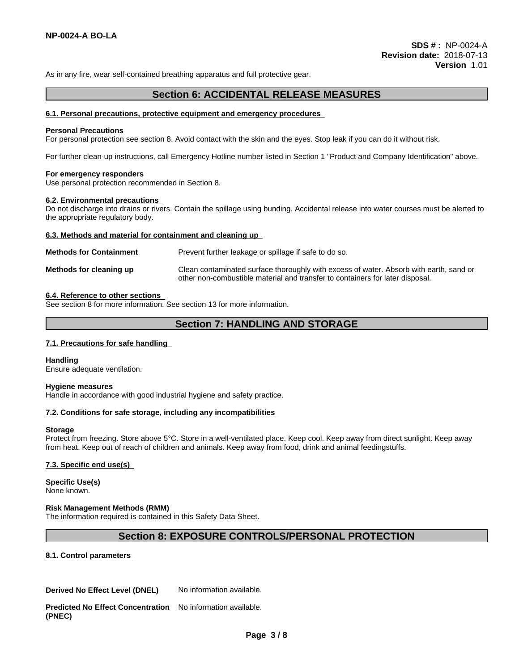As in any fire, wear self-contained breathing apparatus and full protective gear.

# **Section 6: ACCIDENTAL RELEASE MEASURES**

### **6.1. Personal precautions, protective equipment and emergency procedures**

### **Personal Precautions**

For personal protection see section 8. Avoid contact with the skin and the eyes. Stop leak if you can do it without risk.

For further clean-up instructions, call Emergency Hotline number listed in Section 1 "Product and Company Identification" above.

### **For emergency responders**

Use personal protection recommended in Section 8.

### **6.2. Environmental precautions**

Do not discharge into drains or rivers.Contain the spillage using bunding. Accidental release into water courses must be alerted to the appropriate regulatory body.

### **6.3. Methods and material for containment and cleaning up**

| <b>Methods for Containment</b> | Prevent further leakage or spillage if safe to do so.                                                                                                                   |
|--------------------------------|-------------------------------------------------------------------------------------------------------------------------------------------------------------------------|
| Methods for cleaning up        | Clean contaminated surface thoroughly with excess of water. Absorb with earth, sand or<br>other non-combustible material and transfer to containers for later disposal. |

### **6.4. Reference to other sections**

See section 8 for more information. See section 13 for more information.

# **Section 7: HANDLING AND STORAGE**

## **7.1. Precautions for safe handling**

**Handling** Ensure adequate ventilation.

# **Hygiene measures**

Handle in accordance with good industrial hygiene and safety practice.

## **7.2. Conditions for safe storage, including any incompatibilities**

### **Storage**

Protect from freezing. Store above 5°C. Store in a well-ventilated place. Keep cool. Keep away from direct sunlight. Keep away from heat. Keep out of reach of children and animals. Keep away from food, drink and animal feedingstuffs.

## **7.3. Specific end use(s)**

**Specific Use(s)** None known.

## **Risk Management Methods (RMM)**

The information required is contained in this Safety Data Sheet.

# **Section 8: EXPOSURE CONTROLS/PERSONAL PROTECTION**

**8.1. Control parameters**

**Derived No Effect Level (DNEL)** No information available.

**Predicted No Effect Concentration (PNEC)** No information available.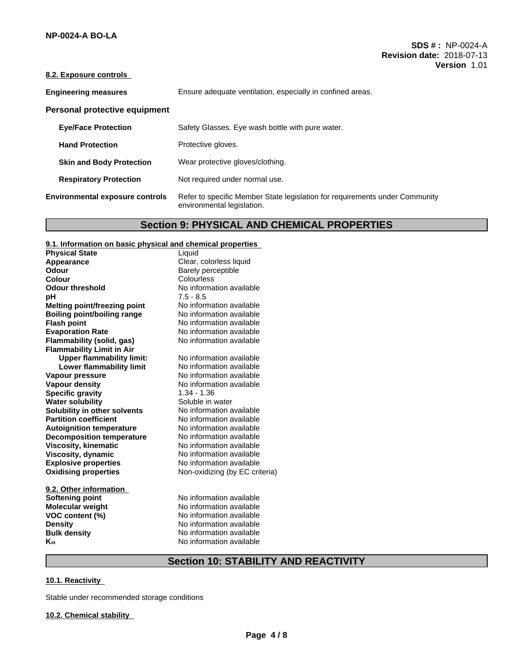## **8.2. Exposure controls**

| <b>Engineering measures</b>            | Ensure adequate ventilation, especially in confined areas.                                                |
|----------------------------------------|-----------------------------------------------------------------------------------------------------------|
| Personal protective equipment          |                                                                                                           |
| <b>Eye/Face Protection</b>             | Safety Glasses. Eye wash bottle with pure water.                                                          |
| <b>Hand Protection</b>                 | Protective gloves.                                                                                        |
| <b>Skin and Body Protection</b>        | Wear protective gloves/clothing.                                                                          |
| <b>Respiratory Protection</b>          | Not required under normal use.                                                                            |
| <b>Environmental exposure controls</b> | Refer to specific Member State legislation for requirements under Community<br>environmental legislation. |

# **Section 9: PHYSICAL AND CHEMICAL PROPERTIES**

## **9.1. Information on basic physical and chemical properties**

| <b>Physical State</b>               | Liquid                         |
|-------------------------------------|--------------------------------|
| Appearance                          | Clear, colorless liquid        |
| Odour                               | Barely perceptible             |
| Colour                              | Colourless                     |
| <b>Odour threshold</b>              | No information available       |
| pН                                  | $7.5 - 8.5$                    |
| <b>Melting point/freezing point</b> | No information available       |
| <b>Boiling point/boiling range</b>  | No information available       |
| <b>Flash point</b>                  | No information available       |
| <b>Evaporation Rate</b>             | No information available       |
| Flammability (solid, gas)           | No information available       |
| <b>Flammability Limit in Air</b>    |                                |
| <b>Upper flammability limit:</b>    | No information available       |
| Lower flammability limit            | No information available       |
| Vapour pressure                     | No information available       |
| <b>Vapour density</b>               | No information available       |
| <b>Specific gravity</b>             | $1.34 - 1.36$                  |
| <b>Water solubility</b>             | Soluble in water               |
| Solubility in other solvents        | No information available       |
| <b>Partition coefficient</b>        | No information available       |
| <b>Autoignition temperature</b>     | No information available       |
| <b>Decomposition temperature</b>    | No information available       |
| <b>Viscosity, kinematic</b>         | No information available       |
| Viscosity, dynamic                  | No information available       |
| <b>Explosive properties</b>         | No information available       |
| <b>Oxidising properties</b>         | Non-oxidizing (by EC criteria) |
| 9.2. Other information              |                                |
| <b>Softening point</b>              | No information available       |
| <b>Molecular weight</b>             | No information available       |
| VOC content (%)                     | No information available       |
| <b>Density</b>                      | No information available       |
|                                     |                                |

**Bulk density**<br> **K**<sub>st</sub> No information available<br>
No information available **No information available** 

# **Section 10: STABILITY AND REACTIVITY**

## **10.1. Reactivity**

Stable under recommended storage conditions

## **10.2. Chemical stability**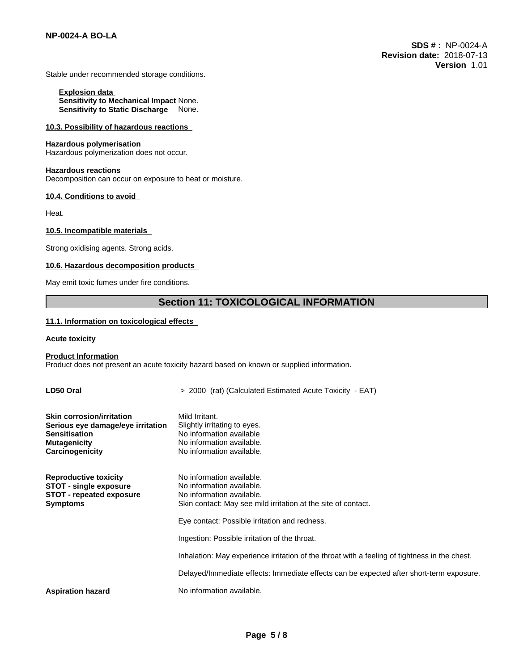Stable under recommended storage conditions.

**Explosion data Sensitivity to Mechanical Impact** None. **Sensitivity to Static Discharge** None.

### **10.3. Possibility of hazardous reactions**

# **Hazardous polymerisation**

Hazardous polymerization does not occur.

### **Hazardous reactions**

Decomposition can occur on exposure to heat or moisture.

#### **10.4. Conditions to avoid**

Heat.

### **10.5. Incompatible materials**

Strong oxidising agents. Strong acids.

### **10.6. Hazardous decomposition products**

May emit toxic fumes under fire conditions.

# **Section 11: TOXICOLOGICAL INFORMATION**

### **11.1. Information on toxicologicaleffects**

### **Acute toxicity**

### **Product Information**

Product does not present an acute toxicity hazard based on known or supplied information.

| LD50 Oral                                                                                                                               | > 2000 (rat) (Calculated Estimated Acute Toxicity - EAT)                                                                                             |
|-----------------------------------------------------------------------------------------------------------------------------------------|------------------------------------------------------------------------------------------------------------------------------------------------------|
| <b>Skin corrosion/irritation</b><br>Serious eye damage/eye irritation<br><b>Sensitisation</b><br><b>Mutagenicity</b><br>Carcinogenicity | Mild Irritant.<br>Slightly irritating to eyes.<br>No information available<br>No information available.<br>No information available.                 |
| <b>Reproductive toxicity</b><br><b>STOT - single exposure</b><br><b>STOT - repeated exposure</b><br><b>Symptoms</b>                     | No information available.<br>No information available.<br>No information available.<br>Skin contact: May see mild irritation at the site of contact. |
|                                                                                                                                         | Eye contact: Possible irritation and redness.                                                                                                        |
|                                                                                                                                         | Ingestion: Possible irritation of the throat.                                                                                                        |
|                                                                                                                                         | Inhalation: May experience irritation of the throat with a feeling of tightness in the chest.                                                        |
|                                                                                                                                         | Delayed/Immediate effects: Immediate effects can be expected after short-term exposure.                                                              |
| <b>Aspiration hazard</b>                                                                                                                | No information available.                                                                                                                            |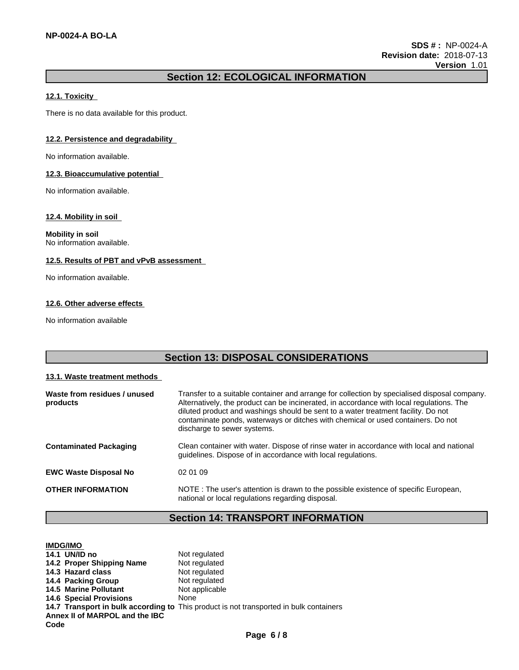# **Section 12: ECOLOGICAL INFORMATION**

## **12.1. Toxicity**

There is no data available for this product.

# **12.2. Persistence and degradability**

No information available.

### **12.3. Bioaccumulative potential**

No information available.

### **12.4. Mobility in soil**

**Mobility in soil** No information available.

# **12.5. Results of PBT and vPvB assessment**

No information available.

# **12.6. Other adverse effects**

No information available

| <b>Section 13: DISPOSAL CONSIDERATIONS</b> |                                                                                                                                                                                                                                                                                                                                                                                                  |
|--------------------------------------------|--------------------------------------------------------------------------------------------------------------------------------------------------------------------------------------------------------------------------------------------------------------------------------------------------------------------------------------------------------------------------------------------------|
| 13.1. Waste treatment methods              |                                                                                                                                                                                                                                                                                                                                                                                                  |
| Waste from residues / unused<br>products   | Transfer to a suitable container and arrange for collection by specialised disposal company.<br>Alternatively, the product can be incinerated, in accordance with local regulations. The<br>diluted product and washings should be sent to a water treatment facility. Do not<br>contaminate ponds, waterways or ditches with chemical or used containers. Do not<br>discharge to sewer systems. |
| <b>Contaminated Packaging</b>              | Clean container with water. Dispose of rinse water in accordance with local and national<br>quidelines. Dispose of in accordance with local regulations.                                                                                                                                                                                                                                         |
| <b>EWC Waste Disposal No</b>               | 02 01 09                                                                                                                                                                                                                                                                                                                                                                                         |
| <b>OTHER INFORMATION</b>                   | NOTE: The user's attention is drawn to the possible existence of specific European,<br>national or local regulations regarding disposal.                                                                                                                                                                                                                                                         |

# **Section 14: TRANSPORT INFORMATION**

| <b>IMDG/IMO</b>                |                                                                                        |
|--------------------------------|----------------------------------------------------------------------------------------|
| 14.1 UN/ID no                  | Not regulated                                                                          |
| 14.2 Proper Shipping Name      | Not regulated                                                                          |
| 14.3 Hazard class              | Not regulated                                                                          |
| 14.4 Packing Group             | Not regulated                                                                          |
| <b>14.5 Marine Pollutant</b>   | Not applicable                                                                         |
| <b>14.6 Special Provisions</b> | None                                                                                   |
|                                | 14.7 Transport in bulk according to This product is not transported in bulk containers |
| Annex II of MARPOL and the IBC |                                                                                        |
| Code                           |                                                                                        |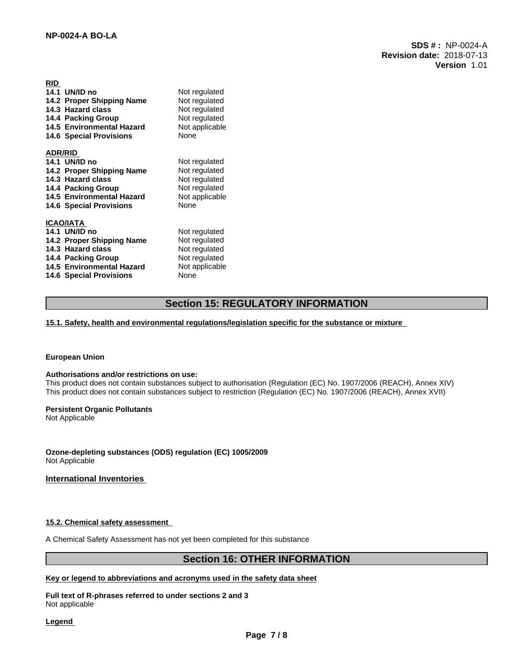**SDS # :** NP-0024-A **Revision date:** 2018-07-13 **Version** 1.01

| <b>RID</b>                       |                |
|----------------------------------|----------------|
| 14.1 UN/ID no                    | Not regulated  |
| 14.2 Proper Shipping Name        | Not regulated  |
| 14.3 Hazard class                | Not regulated  |
| 14.4 Packing Group               | Not regulated  |
| <b>14.5 Environmental Hazard</b> | Not applicable |
| <b>14.6 Special Provisions</b>   | None           |
|                                  |                |
| <b>ADR/RID</b>                   |                |
| 14.1 UN/ID no                    | Not regulated  |
| 14.2 Proper Shipping Name        | Not regulated  |
| 14.3 Hazard class                | Not regulated  |
| 14.4 Packing Group               | Not regulated  |
| 14.5 Environmental Hazard        | Not applicable |
| <b>14.6 Special Provisions</b>   | None           |
|                                  |                |
| <b>ICAO/IATA</b>                 |                |
| 14.1 UN/ID no                    | Not regulated  |
| 14.2 Proper Shipping Name        | Not regulated  |
| 14.3 Hazard class                | Not regulated  |
| 14.4 Packing Group               | Not regulated  |
| 14.5 Environmental Hazard        | Not applicable |
| <b>14.6 Special Provisions</b>   | None           |

# **Section 15: REGULATORY INFORMATION**

**15.1. Safety, health and environmental regulations/legislation specific for the substance or mixture**

### **European Union**

### **Authorisations and/or restrictions on use:**

This product does not contain substances subject to authorisation (Regulation (EC) No. 1907/2006 (REACH), Annex XIV) This product does not contain substances subject to restriction (Regulation (EC) No. 1907/2006 (REACH), Annex XVII)

# **Persistent Organic Pollutants**

Not Applicable

**Ozone-depleting substances (ODS) regulation (EC) 1005/2009** Not Applicable

# **International Inventories**

### **15.2. Chemical safety assessment**

A Chemical Safety Assessment has not yet been completed for this substance

# **Section 16: OTHER INFORMATION**

# **Key or legend to abbreviations and acronyms used in the safety data sheet**

**Full text of R-phrases referred to undersections 2 and 3** Not applicable

### **Legend**